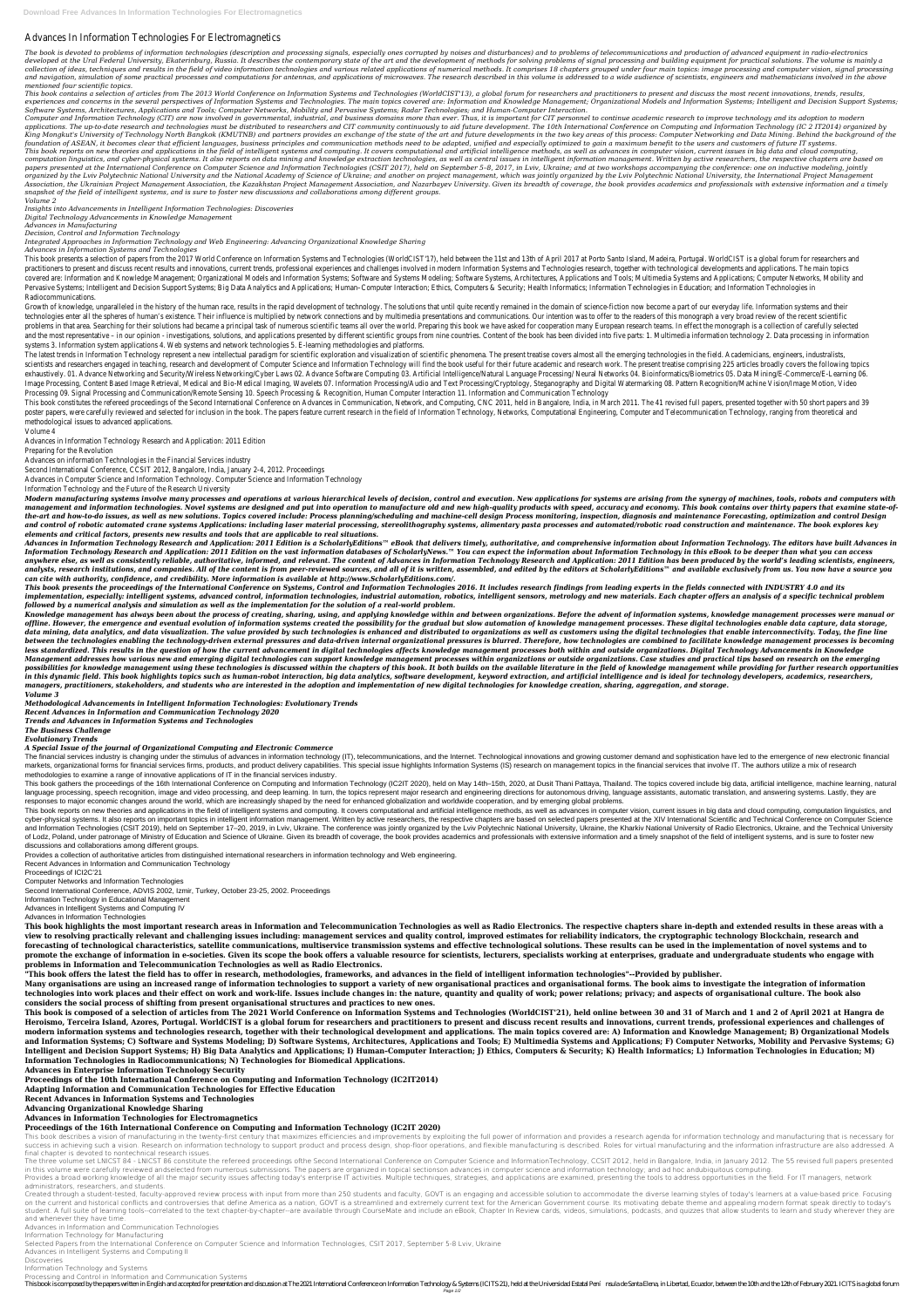## Advances In Information Technologies For Electromagnetics

The book is devoted to problems of information technologies (description and processing signals, especially ones corrupted by noises and disturbances) and to problems of telecommunications and production of advanced equipm developed at the Ural Federal University, Ekaterinburg, Russia. It describes the contemporary state of the art and the development of methods for solving problems of signal processing and building equipment for practical s collection of ideas, techniques and results in the field of video information technologies and various related applications of numerical methods. It comprises 18 chapters grouped under four main topics: image processing an and navigation, simulation of some practical processes and computations for antennas, and applications of microwaves. The research described in this volume is addressed to a wide audience of scientists, engineers and mathe *mentioned four scientific topics.*

This book contains a selection of articles from The 2013 World Conference on Information Systems and Technologies (WorldCIST'13), a global forum for researchers and practitioners to present and discuss the most recent inno experiences and concerns in the several perspectives of Information Systems and Technologies. The main topics covered are: Information and Knowledge Management; Organizational Models and Information Systems; Intelligent an *Software Systems, Architectures, Applications and Tools; Computer Networks, Mobility and Pervasive Systems; Radar Technologies; and Human-Computer Interaction.*

Computer and Information Technology (CIT) are now involved in governmental, industrial, and business domains more than ever. Thus, it is important for CIT personnel to continue academic research to improve technology and i applications. The up-to-date research and technologies must be distributed to researchers and CIT community continuously to aid future development. The 10th International Conference on Computing and Information Technology King Mongkut's University of Technology North Bangkok (KMUTNB) and partners provides an exchange of the state of the art and future developments in the two key areas of this process: Computer Networking and Data Mining. Be foundation of ASEAN, it becomes clear that efficient languages, business principles and communication methods need to be adapted, unified and especially optimized to gain a maximum benefit to the users and customers of fut This book reports on new theories and applications in the field of intelligent systems and computing. It covers computational and artificial intelligence methods, as well as advances in computer vision, current issues in b computation linguistics, and cyber-physical systems. It also reports on data mining and knowledge extraction technologies, as well as central issues in intelligent information management. Written by active researchers, the papers presented at the International Conference on Computer Science and Information Technologies (CSIT 2017), held on September 5-8, 2017, in Lviv, Ukraine; and at two workshops accompanying the conference: one on inducti organized by the Lviv Polytechnic National University and the National Academy of Science of Ukraine; and another on project management, which was jointly organized by the Lviv Polytechnic National University, the Internat Association, the Ukrainian Project Management Association, the Kazakhstan Project Management Association, and Nazarbayev University. Given its breadth of coverage, the book provides academics and professionals with extensi *snapshot of the field of intelligent systems, and is sure to foster new discussions and collaborations among different groups. Volume 2*

This book presents a selection of papers from the 2017 World Conference on Information Systems and Technologies (WorldCIST'17), held between the 11st and 13th of April 2017 at Porto Santo Island, Madeira, Portugal. WorldCI practitioners to present and discuss recent results and innovations, current trends, professional experiences and challenges involved in modern Information Systems and Technologies research, together with technological dev covered are: Information and Knowledge Management; Organizational Models and Information Systems; Software and Systems Modeling; Software Systems, Architectures, Applications and Tools; Multimedia Systems and Applications; Pervasive Systems; Intelligent and Decision Support Systems; Big Data Analytics and Applications; Human-Computer Interaction; Ethics, Computers & Security; Health Informatics; Information Technologies in Education; and Inf Radiocommunications.

Growth of knowledge, unparalleled in the history of the human race, results in the rapid development of technology. The solutions that until quite recently remained in the domain of science-fiction now become a part of our technologies enter all the spheres of human's existence. Their influence is multiplied by network connections and by multimedia presentations and communications. Our intention was to offer to the readers of this monograph problems in that area. Searching for their solutions had became a principal task of numerous scientific teams all over the world. Preparing this book we have asked for cooperation many European research teams. In effect th and the most representative - in our opinion - investigations, solutions, and applications presented by different scientific groups from nine countries. Content of the book has been divided into five parts: 1. Multimedia i systems 3. Information system applications 4. Web systems and network technologies 5. E-learning methodologies and platforms.

The latest trends in Information Technology represent a new intellectual paradigm for scientific exploration and visualization of scientific phenomena. The present treatise covers almost all the emerging technologies in th scientists and researchers engaged in teaching, research and development of Computer Science and Information Technology will find the book useful for their future academic and research work. The present treatise comprising exhaustively. 01. Advance Networking and Security/Wireless Networking/Cyber Laws 02. Advance Software Computing 03. Artificial Intelligence/Natural Language Processing/ Neural Networks 04. Bioinformatics/Biometrics 05. Dat Image Processing, Content Based Image Retrieval, Medical and Bio-Medical Imaging, Wavelets 07. Information Processing/Audio and Text Processing/Cryptology, Steganography and Digital Watermarking 08. Pattern Recognition/Mac Processing 09. Signal Processing and Communication/Remote Sensing 10. Speech Processing & Recognition, Human Computer Interaction 11. Information and Communication Technology

*Insights into Advancements in Intelligent Information Technologies: Discoveries*

*Digital Technology Advancements in Knowledge Management*

This book constitutes the refereed proceedings of the Second International Conference on Advances in Communication, Network, and Computing, CNC 2011, held in Bangalore, India, in March 2011. The 41 revised full papers, pre poster papers, were carefully reviewed and selected for inclusion in the book. The papers feature current research in the field of Information Technology, Networks, Computational Engineering. Computer and Telecommunication methodological issues to advanced applications.

*Advances in Manufacturing*

*Decision, Control and Information Technology*

*Integrated Approaches in Information Technology and Web Engineering: Advancing Organizational Knowledge Sharing*

*Advances in Information Systems and Technologies*

Modern manufacturing systems involve many processes and operations at various hierarchical levels of decision, control and execution. New applications for systems are arising from the synergy of machines, tools, robots and management and information technologies. Novel systems are designed and put into operation to manufacture old and new high-quality products with speed, accuracy and economy. This book contains over thirty papers that exami the-art and how-to-do issues, as well as new solutions. Topics covered include: Process planning/scheduling and machine-cell design Process monitoring, inspection, diagnosis and maintenance Forecasting, optimization and co and control of robotic automated crane systems Applications: including laser material processing, stereolithography systems, alimentary pasta processes and automated/robotic road construction and maintenance. The book expl *elements and critical factors, presents new results and tools that are applicable to real situations.*

Advances in Information Technology Research and Application: 2011 Edition is a ScholarlyEditions™ eBook that delivers timely, authoritative, and comprehensive information about Information Technology. The editors have bui Information Technology Research and Application: 2011 Edition on the vast information databases of ScholarlyNews.™ You can expect the information about Information Technology in this eBook to be deeper than what you can a anywhere else, as well as consistently reliable, authoritative, informed, and relevant. The content of Advances in Information Technology Research and Application: 2011 Edition has been produced by the world's leading scie analysts, research institutions, and companies. All of the content is from peer-reviewed sources, and all of it is written, assembled, and edited by the editors at ScholarlyEditions™ and available exclusively from us. You *can cite with authority, confidence, and credibility. More information is available at http://www.ScholarlyEditions.com/.*

This book presents the proceedings of the International Conference on Systems, Control and Information Technologies 2016. It includes research findings from leading experts in the fields connected with INDUSTRY 4.0 and its implementation, especially: intelligent systems, advanced control, information technologies, industrial automation, robotics, intelligent sensors, metrology and new materials. Each chapter offers an analysis of a specific *followed by a numerical analysis and simulation as well as the implementation for the solution of a real-world problem.*

Knowledge management has always been about the process of creating, sharing, using, and applying knowledge within and between organizations. Before the advent of information systems, knowledge management processes were man offline. However, the emergence and eventual evolution of information systems created the possibility for the gradual but slow automation of knowledge management processes. These digital technologies enable data capture, d data mining, data analytics, and data visualization. The value provided by such technologies is enhanced and distributed to organizations as well as customers using the digital technologies that enable interconnectivity. T between the technologies enabling the technology-driven external pressures and data-driven internal organizational pressures is blurred. Therefore, how technologies are combined to facilitate knowledge management processes less standardized. This results in the question of how the current advancement in digital technologies affects knowledge management processes both within and outside organizations. Digital Technology Advancements in Knowle Management addresses how various new and emerging digital technologies can support knowledge management processes within organizations or outside organizations. Case studies and practical tips based on research on the emer possibilities for knowledge management using these technologies is discussed within the chapters of this book. It both builds on the available literature in the field of knowledge management while providing for further res in this dynamic field. This book highlights topics such as human-robot interaction, big data analytics, software development, keyword extraction, and artificial intelligence and is ideal for technology developers, academic *managers, practitioners, stakeholders, and students who are interested in the adoption and implementation of new digital technologies for knowledge creation, sharing, aggregation, and storage. Volume 3*

The financial services industry is changing under the stimulus of advances in information technology (IT), telecommunications, and the Internet. Technological innovations and growing customer demand and sophistication have markets, organizational forms for financial services firms, products, and product delivery capabilities. This special issue highlights Information Systems (IS) research on management topics in the financial services that i methodologies to examine a range of innovative applications of IT in the financial services industry.

This book gathers the proceedings of the 16th International Conference on Computing and Information Technology (IC2IT 2020), held on May 14th-15th, 2020, at Dusit Thani Pattaya, Thailand. The topics covered include big dat language processing, speech recognition, image and video processing, and deep learning. In turn, the topics represent major research and engineering directions for autonomous driving, language assistants, automatic transla responses to major economic changes around the world, which are increasingly shaped by the need for enhanced globalization and worldwide cooperation, and by emerging global problems.

This book reports on new theories and applications in the field of intelligent systems and computing. It covers computational and artificial intelligence methods, as well as advances in computer vision, current issues in b cyber-physical systems. It also reports on important topics in intelligent information management. Written by active researchers, the respective chapters are based on selected papers presented at the XIV International Scie and Information Technologies (CSIT 2019), held on September 17–20, 2019, in Lviv, Ukraine. The conference was jointly organized by the Lviv Polytechnic National University, Ukraine, the Kharkiv National University of Radio of Lodz, Poland, under patronage of Ministry of Education and Science of Ukraine. Given its breadth of coverage, the book provides academics and professionals with extensive information and a timely snapshot of the field o discussions and collaborations among different groups.

Volume 4

Advances in Information Technology Research and Application: 2011 Edition

Preparing for the Revolution

Advances on information Technologies in the Financial Services industry

Second International Conference, CCSIT 2012, Bangalore, India, January 2-4, 2012. Proceedings

Advances in Computer Science and Information Technology. Computer Science and Information Technology

Information Technology and the Future of the Research University

This book describes a vision of manufacturing in the twenty-first century that maximizes efficiencies and improvements by exploiting the full power of information and provides a research agenda for information technology a success in achieving such a vision. Research on information technology to support product and process design, shop-floor operations, and flexible manufacturing is described. Roles for virtual manufacturing and the informat final chapter is devoted to nontechnical research issues.

The three volume set LNICST 84 - LNICST 86 constitute the refereed proceedings ofthe Second International Conference on Computer Science and Information Technology, CCSIT 2012, held in Bangalore, India, in January 2012. Th in this volume were carefully reviewed andselected from numerous submissions. The papers are organized in topical sectionson advances in computer science and information technology; and ad hoc andubiquitous computing.

Provides a broad working knowledge of all the major security issues affecting today's enterprise IT activities. Multiple techniques, strategies, and applications are examined, presenting the tools to address opportunities administrators, researchers, and students.

Created through a student-tested, faculty-approved review process with input from more than 250 students and faculty, GOVT is an engaging and accessible solution to accommodate the diverse learning styles of today's learne on the current and historical conflicts and controversies that define America as a nation, GOVT is a streamlined and extremely current text for the American Government course. Its motivating debate theme and appealing mode student. A full suite of learning tools--correlated to the text chapter-by-chapter--are available through CourseMate and include an eBook, Chapter In Review cards, videos, simulations, podcasts, and quizzes that allow stud and whenever they have time.

*Methodological Advancements in Intelligent Information Technologies: Evolutionary Trends*

*Recent Advances in Information and Communication Technology 2020*

*Trends and Advances in Information Systems and Technologies*

*The Business Challenge*

*Evolutionary Trends*

*A Special Issue of the journal of Organizational Computing and Electronic Commerce*

Provides a collection of authoritative articles from distinguished international researchers in information technology and Web engineering.

Recent Advances in Information and Communication Technology

Proceedings of ICI2C'21

Computer Networks and Information Technologies

Second International Conference, ADVIS 2002, Izmir, Turkey, October 23-25, 2002. Proceedings

Information Technology in Educational Management

Advances in Intelligent Systems and Computing IV

Advances in Information Technologies

**This book highlights the most important research areas in Information and Telecommunication Technologies as well as Radio Electronics. The respective chapters share in-depth and extended results in these areas with a view to resolving practically relevant and challenging issues including: management services and quality control, improved estimates for reliability indicators, the cryptographic technology Blockchain, research and forecasting of technological characteristics, satellite communications, multiservice transmission systems and effective technological solutions. These results can be used in the implementation of novel systems and to** promote the exchange of information in e-societies. Given its scope the book offers a valuable resource for scientists, lecturers, specialists working at enterprises, graduate and undergraduate students who engage with **problems in Information and Telecommunication Technologies as well as Radio Electronics.**

**"This book offers the latest the field has to offer in research, methodologies, frameworks, and advances in the field of intelligent information technologies"--Provided by publisher.**

**Many organisations are using an increased range of information technologies to support a variety of new organisational practices and organisational forms. The book aims to investigate the integration of information**

**technologies into work places and their effect on work and work-life. Issues include changes in: the nature, quantity and quality of work; power relations; privacy; and aspects of organisational culture. The book also considers the social process of shifting from present organisational structures and practices to new ones.**

**This book is composed of a selection of articles from The 2021 World Conference on Information Systems and Technologies (WorldCIST'21), held online between 30 and 31 of March and 1 and 2 of April 2021 at Hangra de** Heroismo, Terceira Island, Azores, Portugal. WorldCIST is a global forum for researchers and practitioners to present and discuss recent results and innovations, current trends, professional experiences and challenges of **modern information systems and technologies research, together with their technological development and applications. The main topics covered are: A) Information and Knowledge Management; B) Organizational Models and Information Systems; C) Software and Systems Modeling; D) Software Systems, Architectures, Applications and Tools; E) Multimedia Systems and Applications; F) Computer Networks, Mobility and Pervasive Systems; G) Intelligent and Decision Support Systems; H) Big Data Analytics and Applications; I) Human–Computer Interaction; J) Ethics, Computers & Security; K) Health Informatics; L) Information Technologies in Education; M) Information Technologies in Radiocommunications; N) Technologies for Biomedical Applications.**

**Advances in Enterprise Information Technology Security**

**Proceedings of the 10th International Conference on Computing and Information Technology (IC2IT2014)**

**Adapting Information and Communication Technologies for Effective Education**

**Recent Advances in Information Systems and Technologies**

**Advancing Organizational Knowledge Sharing**

**Advances in Information Technologies for Electromagnetics**

## **Proceedings of the 16th International Conference on Computing and Information Technology (IC2IT 2020)**

Advances in Information and Communication Technologies

Information Technology for Manufacturing

Selected Papers from the International Conference on Computer Science and Information Technologies, CSIT 2017, September 5-8 Lviv, Ukraine

Advances in Intelligent Systems and Computing II

**Discoveries** 

Information Technology and Systems

Processing and Control in Information and Communication Systems

This book is composed by the papers written in English and accepted for presentation and discussion at The 2021 International Conference on Information Technology & Systems (ICITS 21), held at the Universidad Estatal Pení